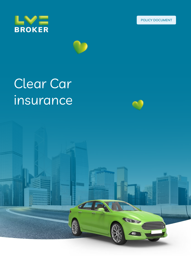





# Clear Car insurance

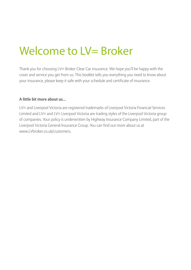# Welcome to LV= Broker

Thank you for choosing LV= Broker Clear Car insurance. We hope you'll be happy with the cover and service you get from us. This booklet tells you everything you need to know about your insurance, please keep it safe with your schedule and certificate of insurance.

#### **A little bit more about us…**

LV= and Liverpool Victoria are registered trademarks of Liverpool Victoria Financial Services Limited and LV= and LV= Liverpool Victoria are trading styles of the Liverpool Victoria group of companies. Your policy is underwritten by Highway Insurance Company Limited, part of the Liverpool Victoria General Insurance Group. You can find out more about us at www.LVbroker.co.uk/customers.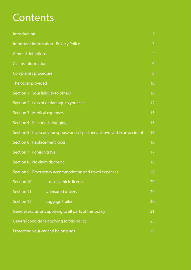## **Contents**

| Introduction                                                                 |    |  |  |  |
|------------------------------------------------------------------------------|----|--|--|--|
| <b>Important Information - Privacy Policy</b>                                |    |  |  |  |
| <b>General definitions</b>                                                   |    |  |  |  |
| <b>Claims information</b>                                                    | 6  |  |  |  |
| Complaints procedure                                                         | 8  |  |  |  |
| The cover provided                                                           | 10 |  |  |  |
| Section 1 Your liability to others                                           | 10 |  |  |  |
| Section 2 Loss of or damage to your car                                      | 12 |  |  |  |
| Section 3 Medical expenses                                                   | 15 |  |  |  |
| Section 4 Personal belongings                                                | 15 |  |  |  |
| Section 5 If you or your spouse or civil partner are involved in an accident | 16 |  |  |  |
| Section 6 Replacement locks                                                  | 16 |  |  |  |
| Section 7 Foreign travel                                                     | 17 |  |  |  |
| Section 8 No claim discount                                                  | 18 |  |  |  |
| Section 9 Emergency accommodation and travel expenses                        | 20 |  |  |  |
| Loss of vehicle licence<br>Section 10                                        | 20 |  |  |  |
| Section 11<br><b>Uninsured drivers</b>                                       | 20 |  |  |  |
| Luggage trailer<br>Section 12                                                | 20 |  |  |  |
| General exclusions applying to all parts of this policy                      | 21 |  |  |  |
| General conditions applying to this policy<br>23                             |    |  |  |  |
| Protecting your car and belongings<br>28                                     |    |  |  |  |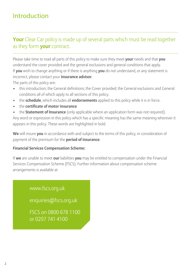### Introduction

### **Your** Clear Car policy is made up of several parts which must be read together as they form **your** contract.

Please take time to read all parts of this policy to make sure they meet **your** needs and that **you** understand the cover provided and the general exclusions and general conditions that apply. If **you** wish to change anything or if there is anything **you** do not understand, or any statement is incorrect, please contact your **insurance advisor**. The parts of this policy are:

- this introduction; the General definitions; the Cover provided; the General exclusions and General conditions all of which apply to all sections of this policy.
- the **schedule**, which includes all **endorsements** applied to this policy while it is in force.
- the **certificate of motor insurance**
- the **Statement of Insurance** (only applicable where an application form was not required).

Any word or expression in this policy which has a specific meaning has the same meaning wherever it appears in this policy. These words are highlighted in bold.

**We** will insure **you** in accordance with and subject to the terms of this policy, in consideration of payment of the premium for the **period of insurance**.

#### **Financial Services Compensation Scheme:**

If **we** are unable to meet **our** liabilities **you** may be entitled to compensation under the Financial Services Compensation Scheme (FSCS). Further information about compensation scheme arrangements is available at

www.fscs.org.uk

enquiries@fscs.org.uk

FSCS on 0800 678 1100 or 0207 741 4100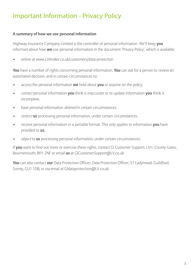### Important Information - Privacy Policy

#### **A summary of how we use personal information**

Highway Insurance Company Limited is the controller of personal information. We'll keep **you** informed about how **we** use personal information in the document 'Privacy Policy', which is available:

• online at www.LVbroker.co.uk/customers/data-protection

**You** have a number of rights concerning personal information. **You** can ask for a person to review an automated decision, and in certain circumstances to:

- access the personal information **we** hold about **you** or anyone on the policy.
- correct personal information **you** think is inaccurate or to update information **you** think is incomplete.
- have personal information *deleted* in certain circumstances.
- restrict **us** processing personal information, under certain circumstances.
- receive personal information in a portable format. This only applies to information **you** have provided to **us.**
- object to **us** processing personal information, under certain circumstances.

If **you** want to find out more or exercise these rights, contact GI Customer Support, LV=, County Gates, Bournemouth, BH1 2NF or email **us** at GICustomerSupport@LV.co.uk

**You** can also contact **our** Data Protection Officer: Data Protection Officer, 57 Ladymead, Guildford, Surrey, GU1 1DB, or via email at GIdataprotection@LV.co.uk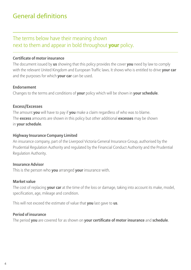### General definitions

### The terms below have their meaning shown next to them and appear in bold throughout **your** policy.

#### **Certificate of motor insurance**

The document issued by **us** showing that this policy provides the cover **you** need by law to comply with the relevant United Kingdom and European Traffic laws. It shows who is entitled to drive **your car** and the purposes for which **your car** can be used.

#### **Endorsement**

Changes to the terms and conditions of **your** policy which will be shown in **your schedule**.

#### **Excess/Excesses**

The amount **you** will have to pay if **you** make a claim regardless of who was to blame. The **excess** amounts are shown in this policy but other additional **excesses** may be shown in **your schedule**.

#### **Highway Insurance Company Limited**

An insurance company, part of the Liverpool Victoria General Insurance Group, authorised by the Prudential Regulation Authority and regulated by the Financial Conduct Authority and the Prudential Regulation Authority.

#### **Insurance Advisor**

This is the person who **you** arranged **your** insurance with.

#### **Market value**

The cost of replacing **your car** at the time of the loss or damage, taking into account its make, model, specification, age, mileage and condition.

This will not exceed the estimate of value that **you** last gave to **us**.

#### **Period of insurance**

The period **you** are covered for as shown on **your certificate of motor insurance** and **schedule**.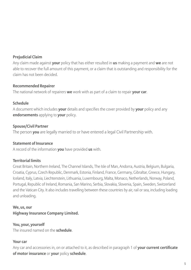#### **Prejudicial Claim**

Any claim made against **your** policy that has either resulted in **us** making a payment and **we** are not able to recover the full amount of this payment, or a claim that is outstanding and responsibility for the claim has not been decided.

#### **Recommended Repairer**

The national network of repairers **we** work with as part of a claim to repair **your car**.

#### **Schedule**

A document which includes **your** details and specifies the cover provided by **your** policy and any **endorsements** applying to **your** policy.

#### **Spouse/Civil Partner**

The person **you** are legally married to or have entered a legal Civil Partnership with.

#### **Statement of Insurance**

A record of the information **you** have provided **us** with.

#### **Territorial limits**

Great Britain, Northern Ireland, The Channel Islands, The Isle of Man, Andorra, Austria, Belgium, Bulgaria, Croatia, Cyprus, Czech Republic, Denmark, Estonia, Finland, France, Germany, Gibraltar, Greece, Hungary, Iceland, Italy, Latvia, Liechtenstein, Lithuania, Luxembourg, Malta, Monaco, Netherlands, Norway, Poland, Portugal, Republic of Ireland, Romania, San Marino, Serbia, Slovakia, Slovenia, Spain, Sweden, Switzerland and the Vatican City. It also includes travelling between these countries by air, rail or sea, including loading and unloading.

**We, us, our Highway Insurance Company Limited.**

#### **You, your, yourself**

The insured named on the **schedule**.

#### **Your car**

Any car and accessories in, on or attached to it, as described in paragraph 1 of **your current certificate of motor insurance** or **your** policy **schedule**.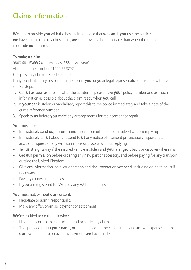### Claims information

**We** aim to provide **you** with the best claims service that **we** can. If **you** use the services **we** have put in place to achieve this, **we** can provide a better service than when the claim is outside **our** control.

#### **To make a claim**

0800 681 6366(24 hours a day, 365 days a year)

Abroad phone number 01202 556797

For glass only claims 0800 169 9499

If any accident, injury, loss or damage occurs **you**, or **your** legal representative, must follow these simple steps:

- 1. Call **us** as soon as possible after the accident please have **your** policy number and as much information as possible about the claim ready when **you** call.
- 2. If **your car** is stolen or vandalised, report this to the police immediately and take a note of the crime reference number.
- 3. Speak to **us** before **you** make any arrangements for replacement or repair

#### **You** must also:

- Immediately send **us**, all communications from other people involved without replying
- Immediately tell **us** about and send to **us** any notice of intended prosecution, inquest, fatal accident inquest, or any writ, summons or process without replying.
- Tell **us** straightaway if the insured vehicle is stolen and **you** later get it back, or discover where it is.
- Get **our** permission before ordering any new part or accessory, and before paying for any transport outside the United Kingdom.
- Give any information, help, co-operation and documentation **we** need, including going to court if necessary.
- Pay any **excess** that applies
- If **you** are registered for VAT, pay any VAT that applies

#### **You** must not, without **our** consent:

- Negotiate or admit responsibility
- Make any offer, promise, payment or settlement

#### **We're** entitled to do the following:

- Have total control to conduct, defend or settle any claim
- Take proceedings in **your** name, or that of any other person insured, at **our** own expense and for **our** own benefit to recover any payment **we** have made.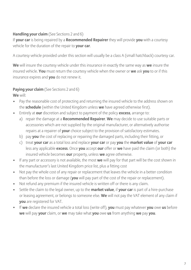#### **Handling your claim** (See Sections 2 and 6)

If **your car** is being repaired by a **Recommended Repairer** they will provide **you** with a courtesy vehicle for the duration of the repair to **your car**.

A courtesy vehicle provided under this section will usually be a class A (small hatchback) courtesy car.

**We** will insure the courtesy vehicle under this insurance in exactly the same way as **we** insure the insured vehicle. **You** must return the courtesy vehicle when the owner or **we** ask **you** to or if this insurance expires and **you** do not renew it.

#### **Paying your claim** (See Sections 2 and 6)

**We** will:

- Pay the reasonable cost of protecting and returning the insured vehicle to the address shown on the **schedule** (within the United Kingdom unless **we** have agreed otherwise first).
- Entirely at **our** discretion and subject to payment of the policy **excess**, arrange to:
	- a) repair the damage at a **Recommended Repairer**. **We** may decide to use suitable parts or accessories which are not supplied by the original manufacturer, or alternatively authorise repairs at a repairer of **your** choice subject to the provision of satisfactory estimates.
	- b) pay **you** the cost of replacing or repairing the damaged parts, including their fitting, or
	- c) treat **your car** as a total loss and replace **your car** or pay **you** the **market value** of **your car** less any applicable **excess**. Once **you** accept **our** offer or **we** have paid the claim (or both) the insured vehicle becomes **our** property, unless **we** agree otherwise.
- If any part or accessory is not available, the most **we** will pay for that part will be the cost shown in the manufacturer's last United Kingdom price list, plus a fitting cost
- Not pay the whole cost of any repair or replacement that leaves the vehicle in a better condition than before the loss or damage (**you** will pay part of the cost of the repair or replacement).
- Not refund any premium if the insured vehicle is written off or there is any claim.
- Settle the claim to the legal owner, up to the **market value**, if **your car** is part of a hire-purchase or leasing agreement, or belongs to someone else. **We** will not pay the VAT element of any claim if **you** are registered for VAT.
- If **we** declare the insured vehicle a total loss (write off), **you** must pay whatever **you** owe **us** before **we** will pay **your** claim, or **we** may take what **you** owe **us** from anything **we** pay **you**.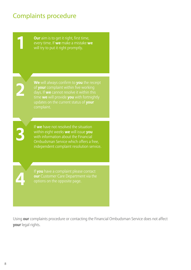### Complaints procedure

**Our** aim is to get it right, first time, every time. If **we** make a mistake **we We** will always confirm to **you** the receipt of **your** complaint within five working days. If **we** cannot resolve it within this time **we** will provide **you** with fortnightly updates on the current status of **your** If **we** have not resolved the situation within eight weeks **we** will issue **you** with information about the Financial Ombudsman Service which offers a free, independent complaint resolution service. If **you** have a complaint please contact

Using **our** complaints procedure or contacting the Financial Ombudsman Service does not affect **your** legal rights.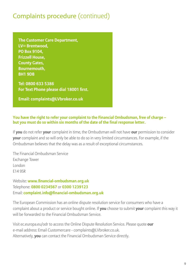### Complaints procedure (continued)

**The Customer Care Department,**  LV= Brentwood. **PO Box 9104, Frizzell House, County Gates, Bournemouth, BH1 9DB**

**Tel: 0800 633 5386 For Text Phone please dial 18001 first.**

**Email: complaints@LVbroker.co.uk** 

#### **You have the right to refer your complaint to the Financial Ombudsman, free of charge – but you must do so within six months of the date of the final response letter.**

If **you** do not refer **your** complaint in time, the Ombudsman will not have **our** permission to consider **your** complaint and so will only be able to do so in very limited circumstances. For example, if the Ombudsman believes that the delay was as a result of exceptional circumstances.

The Financial Ombudsman Service Exchange Tower London E14 9SR

Website: **www.financial-ombudsman.org.uk** Telephone: **0800 0234567** or **0300 1239123** Email: **complaint.info@financial-ombudsman.org.uk**

The European Commission has an online dispute resolution service for consumers who have a complaint about a product or service bought online. If **you** choose to submit **your** complaint this way it will be forwarded to the Financial Ombudsman Service.

Visit ec.europa.eu/odr to access the Online Dispute Resolution Service. Please quote **our** e-mail address: Email Customercare - complaints@LVbroker.co.uk. Alternatively, **you** can contact the Financial Ombudsman Service directly.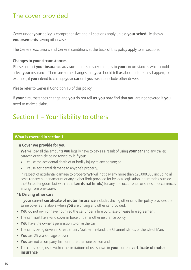### The cover provided

Cover under **your** policy is comprehensive and all sections apply unless **your schedule** shows **endorsements** saying otherwise.

The General exclusions and General conditions at the back of this policy apply to all sections.

#### **Changes to your circumstances**

Please contact **your insurance advisor** if there are any changes to **your** circumstances which could affect **your** insurance. There are some changes that **you** should tell **us** about before they happen, for example, if **you** intend to change **your car** or if **you** wish to include other drivers.

Please refer to General Condition 10 of this policy.

If **your** circumstances change and **you** do not tell **us**, **you** may find that **you** are not covered if **you** need to make a claim.

### Section 1 – Your liability to others

#### **What is covered in section 1**

#### **1a Cover we provide for you**

 **We** will pay all the amounts **you** legally have to pay as a result of using **your car** and any trailer, caravan or vehicle being towed by it if **you**:

- cause the accidental death of or bodily injury to any person; or
- cause accidental damage to anyone's property.

 In respect of accidental damage to property **we** will not pay any more than £20,000,000 including all costs (or any higher amount or any higher limit provided for by local legislation in territories outside the United Kingdom but within the **territorial limits**) for any one occurrence or series of occurrences arising from one cause.

#### **1b Driving other cars**

 If **your** current **certificate of motor Insurance** includes driving other cars, this policy provides the same cover as 1a above when **you** are driving any other car provided:

- **You** do not own or have not hired the car under a hire purchase or lease hire agreement
- The car must have valid cover in force under another insurance policy
- **You** have the owner's permission to drive the car
- The car is being driven in Great Britain, Northern Ireland, the Channel Islands or the Isle of Man.
- **You** are 25 years of age or over
- **You** are not a company, firm or more than one person and
- The car is being used within the limitations of use shown in **your** current **certificate of motor insurance**.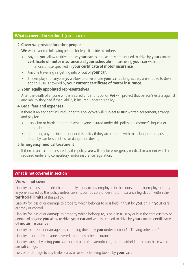#### **What is covered in section 1** (continued)

#### **2 Cover we provide for other people**

**We** will cover the following people for legal liabilities to others:

- Anyone **you** allow to drive or use **your car** as long as they are entitled to drive by **your** current **certificate of motor insurance** and **your schedule** and are using **your car** within the limitations of use specified in **your certificate of motor insurance**
- Anyone travelling in, getting into or out of **your car**.
- The employer of anyone **you** allow to drive or use **your car** as long as they are entitled to drive and this use is covered by **your current certificate of motor insurance**.

#### **3 Your legally appointed representatives**

 After the death of anyone who is insured under this policy, **we** will protect that person's estate against any liability they had if that liability is insured under this policy.

#### **4 Legal fees and expenses**

 If there is an accident insured under this policy **we** will, subject to **our** written agreement, arrange and pay for:

- a solicitor or barrister to represent anyone insured under this policy at a coroner's inquest or criminal court;
- defending anyone insured under this policy if they are charged with manslaughter or causing death by careless, reckless or dangerous driving.

#### **5 Emergency medical treatment**

 If there is an accident insured by this policy, **we** will pay for emergency medical treatment which is required under any compulsory motor insurance legislation.

#### **What is not covered in section 1**

#### **We will not cover**

Liability for causing the death of or bodily injury to any employee in the course of their employment by anyone insured by this policy unless cover is compulsory under motor insurance legislation within the **territorial limits** of this policy.

Liability for loss of or damage to property which belongs to or is held in trust by **you**, or is in **your** care custody or control.

Liability for loss of or damage to property which belongs to, is held in trust by or is in the care custody or control of anyone **you** allow to drive **your car** and who is entitled to drive by **your** current **certificate of motor insurance**.

Liability for loss of or damage to a car being driven by **you** under section 1b 'Driving other cars'

Liability incurred by anyone covered under any other insurance.

Liability caused by using **your car** on any part of an aerodrome, airport, airfield or military base where aircraft can go.

Loss of or damage to any trailer, caravan or vehicle being towed by **your car**.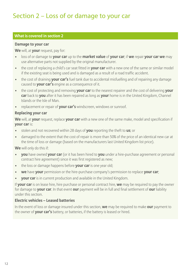### Section 2 – Loss of or damage to your car

#### **What is covered in section 2**

#### **Damage to your car**

**We** will, at **your** request, pay for:

- loss of or damage to **your car** up to the **market value** of **your car**; if **we** repair **your car we** may use alternative parts not supplied by the original manufacturer.
- the cost of replacing a child's car seat fitted in **your car** with a new one of the same or similar model if the existing seat is being used and is damaged as a result of a road traffic accident.
- the cost of draining **your car's** fuel tank due to accidental misfuelling and of repairing any damage caused to **your car's** engine as a consequence of it.
- the cost of protecting and removing **your car** to the nearest repairer and the cost of delivering **your car** back to **you** after it has been repaired as long as **your** home is in the United Kingdom, Channel Islands or the Isle of Man.
- replacement or repair of **your car's** windscreen, windows or sunroof.

#### **Replacing your car**

**We** will, at **your** request, replace **your car** with a new one of the same make, model and specification if **your car** is:

- stolen and not recovered within 28 days of **you** reporting the theft to **us**; or
- damaged to the extent that the cost of repair is more than 50% of the price of an identical new car at the time of loss or damage (based on the manufacturers last United Kingdom list price).

**We** will only do this if:

- **you** have owned **your car** (or it has been hired to **you** under a hire-purchase agreement or personal contract hire agreement) since it was first registered as new;
- the loss or damage happens before **your car** is one year old;
- **we** have **your** permission or the hire-purchase company's permission to replace **your car**;
- **your car** is in current production and available in the United Kingdom.

If **your car** is on lease hire, hire purchase or personal contract hire, **we** may be required to pay the owner for damage to **your car**. In that event **our** payment will be in full and final settlement of **our** liability under this section.

#### **Electric vehicles – Leased batteries**

In the event of loss or damage insured under this section, **we** may be required to make **our** payment to the owner of **your car's** battery, or batteries, if the battery is leased or hired.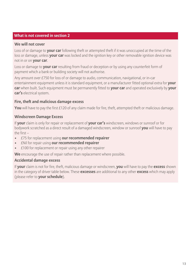#### **What is not covered in section 2**

#### **We will not cover**

Loss of or damage to **your car** following theft or attempted theft if it was unoccupied at the time of the loss or damage, unless **your car** was locked and the ignition key or other removable ignition device was not in or on **your car**.

Loss or damage to **your car** resulting from fraud or deception or by using any counterfeit form of payment which a bank or building society will not authorise.

Any amount over £750 for loss of or damage to audio, communication, navigational, or in-car entertainment equipment unless it is standard equipment, or a manufacturer fitted optional extra for **your car** when built. Such equipment must be permanently fitted to **your car** and operated exclusively by **your car's** electrical system.

#### **Fire, theft and malicious damage excess**

You will have to pay the first £120 of any claim made for fire, theft, attempted theft or malicious damage.

#### **Windscreen Damage Excess**

If **your** claim is only for repair or replacement of **your car's** windscreen, windows or sunroof or for bodywork scratched as a direct result of a damaged windscreen, window or sunroof **you** will have to pay the first –

- £75 for replacement using **our recommended repairer**
- £Nil for repair using **our recommended repairer**
- $£100$  for replacement or repair using any other repairer

**We** encourage the use of repair rather than replacement where possible.

#### **Accidental damage excess**

If **your** claim is not for fire, theft, malicious damage or windscreen, **you** will have to pay the **excess** shown in the category of driver table below. These **excesses** are additional to any other **excess** which may apply (please refer to **your schedule**).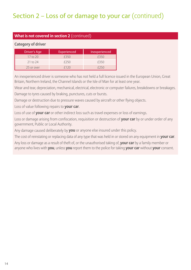## Section 2 – Loss of or damage to your car (continued)

#### **What is not covered in section 2** (continued)

#### **Category of driver**

| Driver's Age | <b>Experienced</b> | Inexperienced |
|--------------|--------------------|---------------|
| $17$ to $20$ | £350               | £350          |
| $21$ to $24$ | F250               | f350          |
| 25 or over   | £120               |               |

An inexperienced driver is someone who has not held a full licence issued in the European Union, Great Britain, Northern Ireland, the Channel Islands or the Isle of Man for at least one year.

Wear and tear, depreciation, mechanical, electrical, electronic or computer failures, breakdowns or breakages.

Damage to tyres caused by braking, punctures, cuts or bursts.

Damage or destruction due to pressure waves caused by aircraft or other flying objects.

Loss of value following repairs to **your car**.

Loss of use of **your car** or other indirect loss such as travel expenses or loss of earnings.

Loss or damage arising from confiscation, requisition or destruction of **your car** by or under order of any government, Public or Local Authority.

Any damage caused deliberately by **you** or anyone else insured under this policy.

The cost of reinstating or replacing data of any type that was held in or stored on any equipment in **your car**. Any loss or damage as a result of theft of, or the unauthorised taking of, **your car** by a family member or anyone who lives with **you**, unless **you** report them to the police for taking **your car** without **your** consent.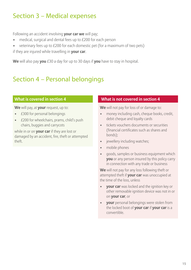### Section 3 – Medical expenses

Following an accident involving **your car we** will pay;

- medical, surgical and dental fees up to £200 for each person
- veterinary fees up to £200 for each domestic pet (for a maximum of two pets) if they are injured while travelling in **your car**.

**We** will also pay **you** £30 a day for up to 30 days if **you** have to stay in hospital.

### Section 4 – Personal belongings

#### **What is covered in section 4**

**We** will pay, at **your** request, up to:

- £300 for personal belongings
- £200 for wheelchairs, prams, child's push chairs, buggies and carrycots

while in or on **your car** if they are lost or damaged by an accident, fire, theft or attempted theft.

#### **What is not covered in section 4**

**We** will not pay for loss of or damage to:

- money including cash, cheque books, credit, debit cheque and loyalty cards
- tickets vouchers documents or securities (financial certificates such as shares and bonds);
- jewellery including watches;
- mobile phones
- goods, samples or business equipment which **you** or any person insured by this policy carry in connection with any trade or business

**We** will not pay for any loss following theft or attempted theft if **your car** was unoccupied at the time of the loss, unless

- **your car** was locked and the ignition key or other removable ignition device was not in or on **your car**, or
- **your** personal belongings were stolen from the locked boot of **your car** if **your car** is a convertible.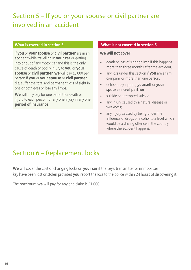### Section 5 – If you or your spouse or civil partner are involved in an accident

If **you** or **your spouse** or **civil partner** are in an accident while travelling in **your car** or getting into or out of any motor car and this is the only cause of death or bodily injury to **you** or **your spouse** or **civil partner**, **we** will pay £5,000 per person if **you** or **your spouse** or **civil partner** die, suffer the total and permanent loss of sight in one or both eyes or lose any limbs.

**We** will only pay for one benefit for death or injury to each person for any one injury in any one **period of insurance.**

#### **What is covered in section 5 What is not covered in section 5**

#### **We will not cover**

- death or loss of sight or limb if this happens more than three months after the accident.
- any loss under this section if **you** are a firm, company or more than one person.
- deliberately injuring **yourself** or **your spouse** or **civil partner**
- suicide or attempted suicide
- any injury caused by a natural disease or weakness;
- any injury caused by being under the influence of drugs or alcohol to a level which would be a driving offence in the country where the accident happens.

### Section 6 – Replacement locks

**We** will cover the cost of changing locks on **your car** if the keys, transmitter or immobiliser key have been lost or stolen provided **you** report the loss to the police within 24 hours of discovering it.

The maximum **we** will pay for any one claim is £1,000.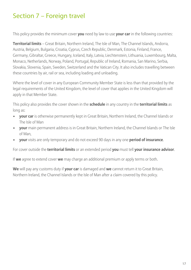### Section 7 – Foreign travel

This policy provides the minimum cover **you** need by law to use **your car** in the following countries:

**Territorial limits** – Great Britain, Northern Ireland, The Isle of Man, The Channel Islands, Andorra, Austria, Belgium, Bulgaria, Croatia, Cyprus, Czech Republic, Denmark, Estonia, Finland, France, Germany, Gibraltar, Greece, Hungary, Iceland, Italy, Latvia, Liechtenstein, Lithuania, Luxembourg, Malta, Monaco, Netherlands, Norway, Poland, Portugal, Republic of Ireland, Romania, San Marino, Serbia, Slovakia, Slovenia, Spain, Sweden, Switzerland and the Vatican City. It also includes travelling between these countries by air, rail or sea, including loading and unloading.

Where the level of cover in any European Community Member State is less than that provided by the legal requirements of the United Kingdom, the level of cover that applies in the United Kingdom will apply in that Member State.

This policy also provides the cover shown in the **schedule** in any country in the **territorial limits** as long as:

- **your car** is otherwise permanently kept in Great Britain, Northern Ireland, the Channel Islands or The Isle of Man
- **your** main permanent address is in Great Britain, Northern Ireland, the Channel Islands or The Isle of Man,
- **your** visits are only temporary and do not exceed 90 days in any one **period of insurance**.

For cover outside the **territorial limits** or an extended period **you** must tell **your insurance advisor**.

If **we** agree to extend cover **we** may charge an additional premium or apply terms or both.

**We** will pay any customs duty if **your car** is damaged and **we** cannot return it to Great Britain, Northern Ireland, the Channel Islands or the Isle of Man after a claim covered by this policy.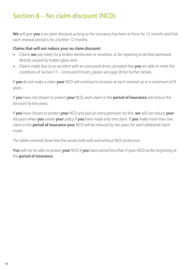### Section 8 – No claim discount (NCD)

**We** will give **you** a no claim discount as long as the insurance has been in force for 12 months and that each renewal period is for a further 12 months.

#### **Claims that will not reduce your no claim discount:**

- Claims **we** pay solely for a broken windscreen or windows, or for repairing scratched paintwork directly caused by broken glass; and
- Claims made due to an accident with an uninsured driver, provided that **you** are able to meet the conditions of Section 11 – Uninsured Drivers, please see page 26 for further details.

If **you** do not make a claim **your** NCD will continue to increase at each renewal up to a maximum of 9 years.

If **you** have not chosen to protect **your** NCD, each claim in the **period of insurance** will reduce the discount by two years.

If **you** have chosen to protect **your** NCD and paid an extra premium for this, **we** will not reduce **your** discount when **you** renew **your** policy if **you** have made only one claim. If **you** make more than one claim in the **period of insurance your** NCD will be reduced by two years for each additional claim made.

The tables overleaf show how this works both with and without NCD protection.

**You** will not be able to protect **your** NCD if **you** have earned less than 4 years NCD at the beginning of the **period of insurance**.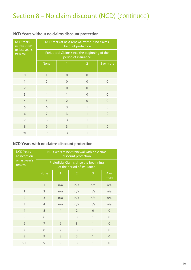### Section 8 – No claim discount (NCD) (continued)

| <b>NCD Years</b><br>at inception | NCD Years at next renewal without no claims<br>discount protection   |                |                |                |  |  |
|----------------------------------|----------------------------------------------------------------------|----------------|----------------|----------------|--|--|
| or last year's<br>renewal        | Prejudicial Claims since the beginning of the<br>period of insurance |                |                |                |  |  |
|                                  | <b>None</b>                                                          |                | $\overline{2}$ | 3 or more      |  |  |
| $\overline{0}$                   | 1                                                                    | $\overline{0}$ | $\Omega$       | $\overline{0}$ |  |  |
| 1                                | $\overline{2}$                                                       | $\overline{0}$ | $\theta$       | $\overline{0}$ |  |  |
| $\overline{2}$                   | 3                                                                    | $\overline{0}$ | $\Omega$       | $\overline{0}$ |  |  |
| 3                                | $\overline{4}$                                                       | 1              | $\theta$       | $\overline{0}$ |  |  |
| $\overline{4}$                   | 5                                                                    | $\overline{2}$ | $\overline{0}$ | $\overline{0}$ |  |  |
| 5                                | 6                                                                    | 3              | 1              | $\overline{0}$ |  |  |
| 6                                | 7                                                                    | $\overline{3}$ | $\overline{1}$ | $\overline{0}$ |  |  |
| $\overline{7}$                   | 8                                                                    | 3              | 1              | $\overline{0}$ |  |  |
| 8                                | 9                                                                    | 3              | $\overline{1}$ | $\overline{0}$ |  |  |
| $9+$                             | 9                                                                    | 3              | 1              | $\Omega$       |  |  |

#### **NCD Years without no claims discount protection**

#### **NCD Years with no claims discount protection**

| <b>NCD Years</b><br>at inception | NCD Years at next renewal with no claims<br>discount protection      |                |                |              |              |  |
|----------------------------------|----------------------------------------------------------------------|----------------|----------------|--------------|--------------|--|
| or last year's<br>renewal        | Prejudicial Claims since the beginning<br>of the period of insurance |                |                |              |              |  |
|                                  | <b>None</b>                                                          | 1              | 2              | 3            | 4 or<br>more |  |
| $\overline{0}$                   | $\mathbf{1}$                                                         | n/a            | n/a            | n/a          | n/a          |  |
| 1                                | $\overline{2}$                                                       | n/a            | n/a            | n/a          | n/a          |  |
| $\overline{2}$                   | 3                                                                    | n/a            | n/a            | n/a          | n/a          |  |
| 3                                | $\overline{4}$                                                       | n/a            | n/a            | n/a          | n/a          |  |
| $\overline{4}$                   | 5                                                                    | $\overline{4}$ | $\overline{2}$ | $\Omega$     | $\Omega$     |  |
| 5                                | 6                                                                    | 5              | 3              | $\mathbf{1}$ | $\Omega$     |  |
| 6                                | $\overline{7}$                                                       | 6              | 3              | $\mathbf{1}$ | $\Omega$     |  |
| 7                                | 8                                                                    | 7              | 3              | 1            | $\Omega$     |  |
| 8                                | 9                                                                    | 8              | 3              | $\mathbf{1}$ | $\Omega$     |  |
| $9+$                             | 9                                                                    | 9              | 3              | 1            | $\Omega$     |  |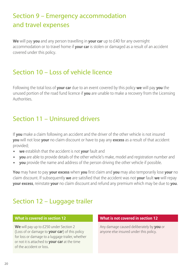### Section 9 – Emergency accommodation and travel expenses

**We** will pay **you** and any person travelling in **your car** up to £40 for any overnight accommodation or to travel home if **your car** is stolen or damaged as a result of an accident covered under this policy.

### Section 10 – Loss of vehicle licence

Following the total loss of **your car** due to an event covered by this policy **we** will pay **you** the unused portion of the road fund licence if **you** are unable to make a recovery from the Licensing **Authorities** 

### Section 11 – Uninsured drivers

If **you** make a claim following an accident and the driver of the other vehicle is not insured **you** will not lose **your** no claim discount or have to pay any **excess** as a result of that accident provided;

- **we** establish that the accident is not **your** fault and
- **you** are able to provide details of the other vehicle's make, model and registration number and
- **you** provide the name and address of the person driving the other vehicle if possible.

**You** may have to pay **your excess** when **you** first claim and **you** may also temporarily lose **your** no claim discount. If subsequently **we** are satisfied that the accident was not **your** fault **we** will repay **your excess**, reinstate **your** no claim discount and refund any premium which may be due to **you**.

### Section 12 – Luggage trailer

**We** will pay up to £250 under Section 2 (Loss of or damage to **your car**) of this policy for loss or damage to a luggage trailer, whether or not it is attached to **your car** at the time of the accident or loss.

#### **What is covered in section 12 What is not covered in section 12**

Any damage caused deliberately by **you** or anyone else insured under this policy.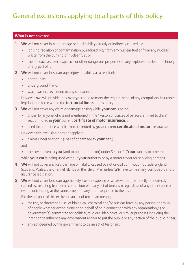### General exclusions applying to all parts of this policy

#### **What is not covered**

- **1 We** will not cover loss or damage or legal liability directly or indirectly caused by:
	- ionising radiation or contamination by radioactivity from any nuclear fuel or from any nuclear waste from the burning of nuclear fuel; or
	- the radioactive, toxic, explosive or other dangerous properties of any explosive nuclear machinery or any part of it.
- **2 We** will not cover loss, damage, injury or liability as a result of:
	- earthquake;
	- underground fire; or
	- war, invasion, revolution or any similar event.

 However, **we** will provide the cover **you** need to meet the requirements of any compulsory insurance legislation in force within the **territorial limits** of this policy.

- **3 We** will not cover any claim or damage arising while **your car** is being:
	- driven by anyone who is not mentioned in the "Person or classes of persons entitled to drive" section noted in **your** current **certificate of motor insurance**; or
	- used for a purpose which is not permitted by **your** current **certificate of motor insurance**. However, this exclusion does not apply to:
	- claims under Section 2 (Loss of or damage to **your car**);

and

• the cover given to **you** (and to no other person) under Section 1 (**Your** liability to others)

while **your car** is being used without **your** authority or by a motor trader for servicing or repair.

- **4 We** will not cover any loss, damage or liability caused by riot or civil commotion outside England, Scotland, Wales, the Channel Islands or the Isle of Man unless **we** have to meet any compulsory motor insurance legislation.
- **5 We** will not cover loss, damage, liability, cost or expense of whatever nature directly or indirectly caused by, resulting from or in connection with any act of terrorism regardless of any other cause or event contributing at the same time or in any other sequence to the loss.

For the purpose of this exclusion an act of terrorism means;

- the use, or threatened use, of biological, chemical and/or nuclear force by any person or group of people whether acting alone or on behalf of or in connection with any organisation(s) or government(s) committed for political, religious, ideological or similar purposes including the intention to influence any government and/or to put the public or any section of the public in fear.
- any act deemed by the government to be an act of terrorism.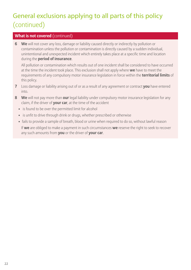## General exclusions applying to all parts of this policy (continued)

#### **What is not covered** (continued)

**6 We** will not cover any loss, damage or liability caused directly or indirectly by pollution or contamination unless the pollution or contamination is directly caused by a sudden individual, unintentional and unexpected incident which entirely takes place at a specific time and location during the **period of insurance**.

 All pollution or contamination which results out of one incident shall be considered to have occurred at the time the incident took place. This exclusion shall not apply where **we** have to meet the requirements of any compulsory motor insurance legislation in force within the **territorial limits** of this policy.

- **7** Loss damage or liability arising out of or as a result of any agreement or contract **you** have entered into.
- **8 We** will not pay more than **our** legal liability under compulsory motor insurance legislation for any claim, if the driver of **your car**, at the time of the accident
	- is found to be over the permitted limit for alcohol
	- is unfit to drive through drink or drugs, whether prescribed or otherwise
	- fails to provide a sample of breath, blood or urine when required to do so, without lawful reason

 If **we** are obliged to make a payment in such circumstances **we** reserve the right to seek to recover any such amounts from **you** or the driver of **your car**.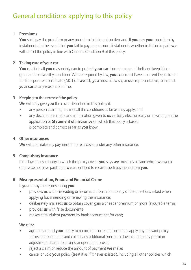### General conditions applying to this policy

#### **1 Premiums**

 **You** shall pay the premium or any premium instalment on demand. If **you** pay **your** premium by instalments, in the event that **you** fail to pay one or more instalments whether in full or in part, **we** will cancel the policy in line with General Condition 9 of this policy.

#### **2 Taking care of your car**

 **You** must do all **you** reasonably can to protect **your car** from damage or theft and keep it in a good and roadworthy condition. Where required by law, **your car** must have a current Department for Transport test certificate (MOT). If **we** ask, **you** must allow **us**, or **our** representative, to inspect **your car** at any reasonable time.

#### **3 Keeping to the terms of the policy**

**We** will only give **you** the cover described in this policy if:

- any person claiming has met all the conditions as far as they apply; and
- any declarations made and information given to **us** verbally electronically or in writing on the application or **Statement of Insurance** on which this policy is based is complete and correct as far as **you** know.

#### **4 Other insurances**

**We** will not make any payment if there is cover under any other insurance.

#### **5 Compulsory insurance**

 If the law of any country in which this policy covers **you** says **we** must pay a claim which **we** would otherwise not have paid, then **we** are entitled to recover such payments from **you**.

#### **6 Misrepresentation, Fraud and Financial Crime**

If **you** or anyone representing **you**:

- provides **us** with misleading or incorrect information to any of the questions asked when applying for, amending or renewing this insurance;
- deliberately misleads **us** to obtain cover, gain a cheaper premium or more favourable terms;
- provides **us** with false documents
- makes a fraudulent payment by bank account and/or card;

**We** may:

- agree to amend **your** policy to record the correct information, apply any relevant policy terms and conditions and collect any additional premium due including any premium adjustment charge to cover **our** operational costs;
- reject a claim or reduce the amount of payment **we** make;
- cancel or void **your** policy (treat it as if it never existed), including all other policies which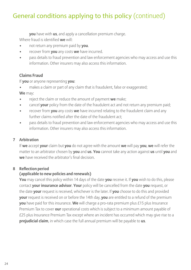### General conditions applying to this policy (continued)

**you** have with **us**, and apply a cancellation premium charge.

Where fraud is identified **we** will:

- not return any premium paid by **you**.
- recover from **you** any costs **we** have incurred.
- pass details to fraud prevention and law enforcement agencies who may access and use this information. Other insurers may also access this information.

### **Claims Fraud**

If **you** or anyone representing **you**:

• makes a claim or part of any claim that is fraudulent, false or exaggerated;

**We** may:

- reject the claim or reduce the amount of payment **we** make;
- cancel **your** policy from the date of the fraudulent act and not return any premium paid;
- recover from **you** any costs **we** have incurred relating to the fraudulent claim and any further claims notified after the date of the fraudulent act;
- pass details to fraud prevention and law enforcement agencies who may access and use this information. Other insurers may also access this information.

#### **7 Arbitration**

 If **we** accept **your** claim but **you** do not agree with the amount **we** will pay **you**, **we** will refer the matter to an arbitrator chosen by **you** and **us**. **You** cannot take any action against **us** until **you** and **we** have received the arbitrator's final decision.

#### **8 Reflection period**

#### **(applicable to new policies and renewals)**

 **You** may cancel this policy within 14 days of the date **you** receive it. If **you** wish to do this, please contact **your insurance advisor**. **Your** policy will be cancelled from the date **you** request, or the date **your** request is received, whichever is the later. If **you** choose to do this and provided **your** request is received on or before the 14th day, **you** are entitled to a refund of the premium **you** have paid for this insurance. **We** will charge a pro-rata premium plus £15 plus Insurance Premium Tax to cover **our** operational costs which is subject to a minimum amount payable of £25 plus Insurance Premium Tax except where an incident has occurred which may give rise to a **prejudicial claim**, in which case the full annual premium will be payable to **us**.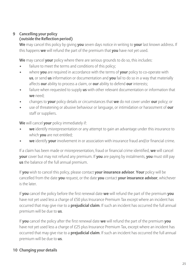#### **9 Cancelling your policy (outside the Reflection period)**

 **We** may cancel this policy by giving **you** seven days notice in writing to **your** last known address. If this happens **we** will refund the part of the premium that **you** have not yet used.

**We** may cancel **your** policy where there are serious grounds to do so, this includes:

- failure to meet the terms and conditions of this policy;
- where **you** are required in accordance with the terms of **your** policy to co-operate with **us**, or send **us** information or documentation and **you** fail to do so in a way that materially affects **our** ability to process a claim, or **our** ability to defend **our** interests;
- failure when requested to supply **us** with other relevant documentation or information that **we** need;
- changes to **your** policy details or circumstances that **we** do not cover under **our** policy; or
- use of threatening or abusive behaviour or language, or intimidation or harassment of **our** staff or suppliers.

**We** will cancel **your** policy immediately if:

- **we** identify misrepresentation or any attempt to gain an advantage under this insurance to which **you** are not entitled;
- **we** identify **your** involvement in or association with insurance fraud and/or financial crime.

 If a claim has been made or misrepresentation, fraud or financial crime identified, **we** will cancel **your** cover but may not refund any premium. If **you** are paying by instalments, **you** must still pay **us** the balance of the full annual premium.

 If **you** wish to cancel this policy, please contact **your insurance advisor**. **Your** policy will be cancelled from the date **you** request, or the date **you** contact **your insurance advisor**, whichever is the later.

 If **you** cancel the policy before the first renewal date **we** will refund the part of the premium **you** have not yet used less a charge of £50 plus Insurance Premium Tax except where an incident has occurred that may give rise to a **prejudicial claim**. If such an incident has occurred the full annual premium will be due to **us**.

 If **you** cancel the policy after the first renewal date **we** will refund the part of the premium **you** have not yet used less a charge of £25 plus Insurance Premium Tax, except where an incident has occurred that may give rise to a **prejudicial claim**. If such an incident has occurred the full annual premium will be due to **us**.

#### **10 Changing your details**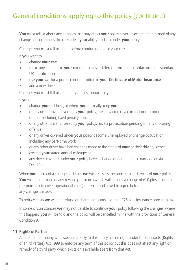### General conditions applying to this policy (continued)

 **You** must tell **us** about any changes that may affect **your** policy cover. If **we** are not informed of any changes or corrections this may affect **your** ability to claim under **your** policy.

Changes you must tell us about before continuing to use your car:

If **you** want to

- change **your car**:
- make any changes to **your car** that makes it different from the manufacturer's standard UK specification;
- use **your car** for a purpose not permitted in **your Certificate of Motor Insurance**;
- add a new driver.

Changes you must tell us about at your first opportunity:

If **you**

- change **your** address, or where **you** normally keep **your** car;
- or any other driver covered by **your** policy, are convicted of a criminal or motoring offence including fixed penalty notices;
- or any other driver covered by **your** policy, have a prosecution pending for any motoring offence;
- or any driver covered under **your** policy become unemployed or change occupation, including any part-time work;
- or any other driver have had changes made to the status of **your** or their driving licence;
- exceed **your** stated annual mileage; or
- any driver covered under **your** policy have a change of name due to marriage or via Deed Poll.

 When **you** tell **us** of a change of details **we** will reassess the premium and terms of **your** policy. **You** will be informed of any revised premium (which will include a charge of £10 plus insurance premium tax to cover operational costs) or terms and asked to agree before any change is made.

To reduce costs **we** will not refund or charge amounts less than £25 plus insurance premium tax.

 In some circumstances **we** may not be able to continue **your** policy following the changes, where this happens **you** will be told and the policy will be cancelled in line with the provisions of General Condition 9.

#### **11 Rights of Parties**

 A person or company who was not a party to this policy has no right under the Contracts (Rights of Third Parties) Act 1999 to enforce any term of this policy but this does not affect any right or remedy of a third party which exists or is available apart from that Act.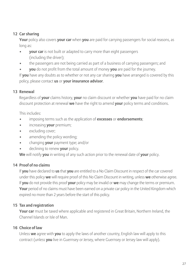#### **12 Car sharing**

 **Your** policy also covers **your car** when **you** are paid for carrying passengers for social reasons, as long as:

- **vour car** is not built or adapted to carry more than eight passengers (including the driver);
- the passengers are not being carried as part of a business of carrying passengers; and
- **you** do not profit from the total amount of money **you** are paid for the journey.

 If **you** have any doubts as to whether or not any car sharing **you** have arranged is covered by this policy, please contact **us** or **your insurance advisor**.

#### **13 Renewal**

 Regardless of **your** claims history, **your** no claim discount or whether **you** have paid for no claim discount protection at renewal **we** have the right to amend **your** policy terms and conditions.

This includes:

- imposing terms such as the application of **excesses** or **endorsements**;
- increasing **your** premium;
- excluding cover;
- amending the policy wording;
- changing **your** payment type; and/or
- declining to renew **your** policy.

**We** will notify **you** in writing of any such action prior to the renewal date of **your** policy.

#### **14 Proof of no claims**

 If **you** have declared to **us** that **you** are entitled to a No Claim Discount in respect of the car covered under this policy **we** will require proof of this No Claim Discount in writing, unless **we** otherwise agree. If **you** do not provide this proof **your** policy may be invalid or **we** may change the terms or premium. **Your** period of no claims must have been earned on a private car policy in the United Kingdom which expired no more than 2 years before the start of this policy.

#### **15 Tax and registration**

 **Your car** must be taxed where applicable and registered in Great Britain, Northern Ireland, the Channel Islands or Isle of Man.

#### **16 Choice of law**

 Unless **we** agree with **you** to apply the laws of another country, English law will apply to this contract (unless **you** live in Guernsey or Jersey, where Guernsey or Jersey law will apply).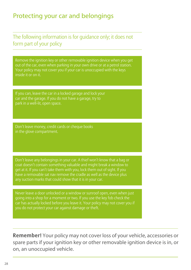### Protecting your car and belongings

The following information is for guidance only; it does not form part of your policy

Remove the ignition key or other removable ignition device when you get out of the car, even when parking in your own drive or at a petrol station. Your policy may not cover you if your car is unoccupied with the keys inside it or on it.

If you can, leave the car in a locked garage and lock your car and the garage. If you do not have a garage, try to park in a well-lit, open space.

in the glove compartment.

coat doesn't contain something valuable and might break a window to get at it. If you can't take them with you, lock them out of sight. If you have a removable sat nav remove the cradle as well as the device plus any suction marks that could show that it is in your car.

Never leave a door unlocked or a window or sunroof open, even when just going into a shop for a moment or two. If you use the key fob check the car has actually locked before you leave it. Your policy may not cover you if you do not protect your car against damage or theft.

**Remember!** Your policy may not cover loss of your vehicle, accessories or spare parts if your ignition key or other removable ignition device is in, or on, an unoccupied vehicle.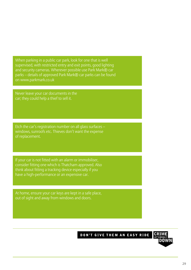supervised, with restricted entry and exit points, good lighting and security cameras. Wherever possible use Park Mark® car parks – details of approved Park Mark® car parks can be found on www.parkmark.co.uk

Never leave your car documents in the car; they could help a thief to sell it.

Etch the car's registration number on all glass surfaces – windows, sunroofs etc. Thieves don't want the expense of replacement.

If your car is not fitted with an alarm or immobiliser, consider fitting one which is Thatcham approved. Also think about fitting a tracking device especially if you have a high-performance or an expensive car.

At home, ensure your car keys are kept in a safe place,

DON'T GIVE THEM AN EASY RIDE

29